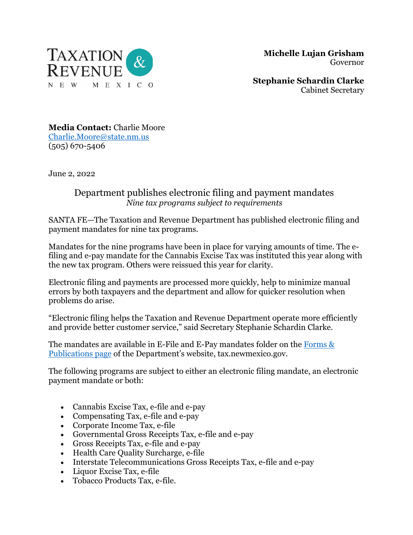

 **Michelle Lujan Grisham** Governor

**Stephanie Schardin Clarke** Cabinet Secretary

**Media Contact:** Charlie Moore [Charlie.Moore@state.nm.us](mailto:Charlie.Moore@state.nm.us) (505) 670-5406

June 2, 2022

## Department publishes electronic filing and payment mandates *Nine tax programs subject to requirements*

SANTA FE—The Taxation and Revenue Department has published electronic filing and payment mandates for nine tax programs.

Mandates for the nine programs have been in place for varying amounts of time. The efiling and e-pay mandate for the Cannabis Excise Tax was instituted this year along with the new tax program. Others were reissued this year for clarity.

Electronic filing and payments are processed more quickly, help to minimize manual errors by both taxpayers and the department and allow for quicker resolution when problems do arise.

"Electronic filing helps the Taxation and Revenue Department operate more efficiently and provide better customer service," said Secretary Stephanie Schardin Clarke.

The mandates are available in E-File and E-Pay mandates folder on the [Forms &](https://www.tax.newmexico.gov/forms-publications/)  [Publications page](https://www.tax.newmexico.gov/forms-publications/) of the Department's website, tax.newmexico.gov.

The following programs are subject to either an electronic filing mandate, an electronic payment mandate or both:

- Cannabis Excise Tax, e-file and e-pay
- Compensating Tax, e-file and e-pay
- Corporate Income Tax, e-file
- Governmental Gross Receipts Tax, e-file and e-pay
- Gross Receipts Tax, e-file and e-pay
- Health Care Quality Surcharge, e-file
- Interstate Telecommunications Gross Receipts Tax, e-file and e-pay
- Liquor Excise Tax, e-file
- Tobacco Products Tax, e-file.